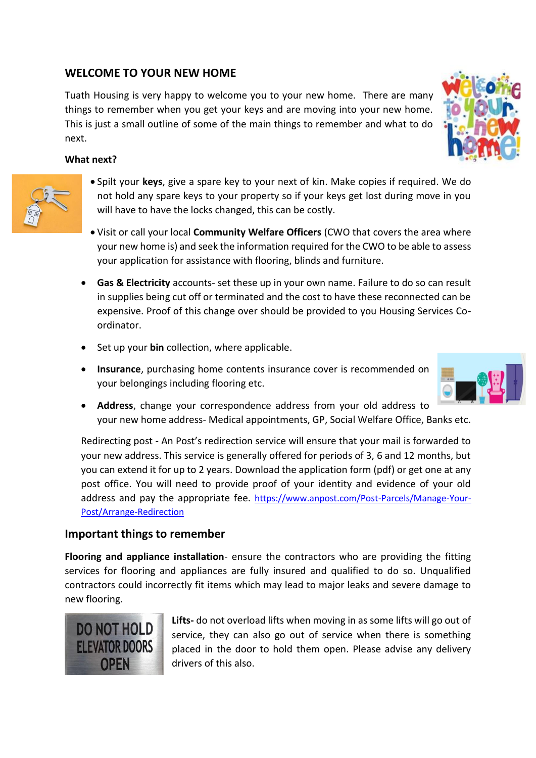## **WELCOME TO YOUR NEW HOME**

Tuath Housing is very happy to welcome you to your new home. There are many things to remember when you get your keys and are moving into your new home. This is just a small outline of some of the main things to remember and what to do next.

## **What next?**

- Spilt your **keys**, give a spare key to your next of kin. Make copies if required. We do not hold any spare keys to your property so if your keys get lost during move in you will have to have the locks changed, this can be costly.
- Visit or call your local **Community Welfare Officers** (CWO that covers the area where your new home is) and seek the information required for the CWO to be able to assess your application for assistance with flooring, blinds and furniture.
- **Gas & Electricity** accounts- set these up in your own name. Failure to do so can result in supplies being cut off or terminated and the cost to have these reconnected can be expensive. Proof of this change over should be provided to you Housing Services Coordinator.
- Set up your **bin** collection, where applicable.
- **Insurance**, purchasing home contents insurance cover is recommended on your belongings including flooring etc.
- **Address**, change your correspondence address from your old address to your new home address- Medical appointments, GP, Social Welfare Office, Banks etc.

Redirecting post - An Post's redirection service will ensure that your mail is forwarded to your new address. This service is generally offered for periods of 3, 6 and 12 months, but you can extend it for up to 2 years. Download the application form (pdf) or get one at any post office. You will need to provide proof of your identity and evidence of your old address and pay the appropriate fee. [https://www.anpost.com/Post-Parcels/Manage-Your-](https://www.anpost.com/Post-Parcels/Manage-Your-Post/Arrange-Redirection)[Post/Arrange-Redirection](https://www.anpost.com/Post-Parcels/Manage-Your-Post/Arrange-Redirection)

## **Important things to remember**

**OPEN** 

**Flooring and appliance installation**- ensure the contractors who are providing the fitting services for flooring and appliances are fully insured and qualified to do so. Unqualified contractors could incorrectly fit items which may lead to major leaks and severe damage to new flooring.







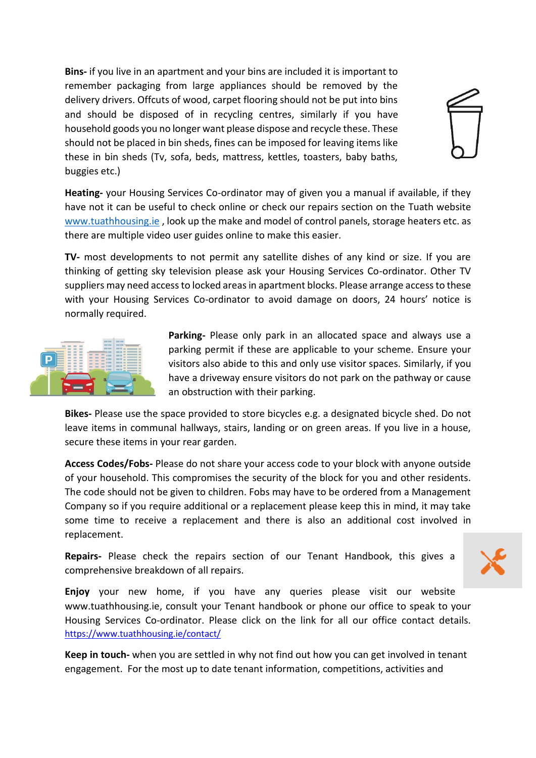**Bins-** if you live in an apartment and your bins are included it is important to remember packaging from large appliances should be removed by the delivery drivers. Offcuts of wood, carpet flooring should not be put into bins and should be disposed of in recycling centres, similarly if you have household goods you no longer want please dispose and recycle these. These should not be placed in bin sheds, fines can be imposed for leaving items like these in bin sheds (Tv, sofa, beds, mattress, kettles, toasters, baby baths, buggies etc.)



**Heating-** your Housing Services Co-ordinator may of given you a manual if available, if they have not it can be useful to check online or check our repairs section on the Tuath website [www.tuathhousing.ie](http://www.tuathhousing.ie/), look up the make and model of control panels, storage heaters etc. as there are multiple video user guides online to make this easier.

**TV-** most developments to not permit any satellite dishes of any kind or size. If you are thinking of getting sky television please ask your Housing Services Co-ordinator. Other TV suppliers may need access to locked areas in apartment blocks. Please arrange access to these with your Housing Services Co-ordinator to avoid damage on doors, 24 hours' notice is normally required.



**Parking-** Please only park in an allocated space and always use a parking permit if these are applicable to your scheme. Ensure your visitors also abide to this and only use visitor spaces. Similarly, if you have a driveway ensure visitors do not park on the pathway or cause an obstruction with their parking.

**Bikes-** Please use the space provided to store bicycles e.g. a designated bicycle shed. Do not leave items in communal hallways, stairs, landing or on green areas. If you live in a house, secure these items in your rear garden.

**Access Codes/Fobs-** Please do not share your access code to your block with anyone outside of your household. This compromises the security of the block for you and other residents. The code should not be given to children. Fobs may have to be ordered from a Management Company so if you require additional or a replacement please keep this in mind, it may take some time to receive a replacement and there is also an additional cost involved in replacement.

**Repairs-** Please check the repairs section of our Tenant Handbook, this gives a comprehensive breakdown of all repairs.



**Enjoy** your new home, if you have any queries please visit our website www.tuathhousing.ie, consult your Tenant handbook or phone our office to speak to your Housing Services Co-ordinator. Please click on the link for all our office contact details. <https://www.tuathhousing.ie/contact/>

**Keep in touch-** when you are settled in why not find out how you can get involved in tenant engagement. For the most up to date tenant information, competitions, activities and